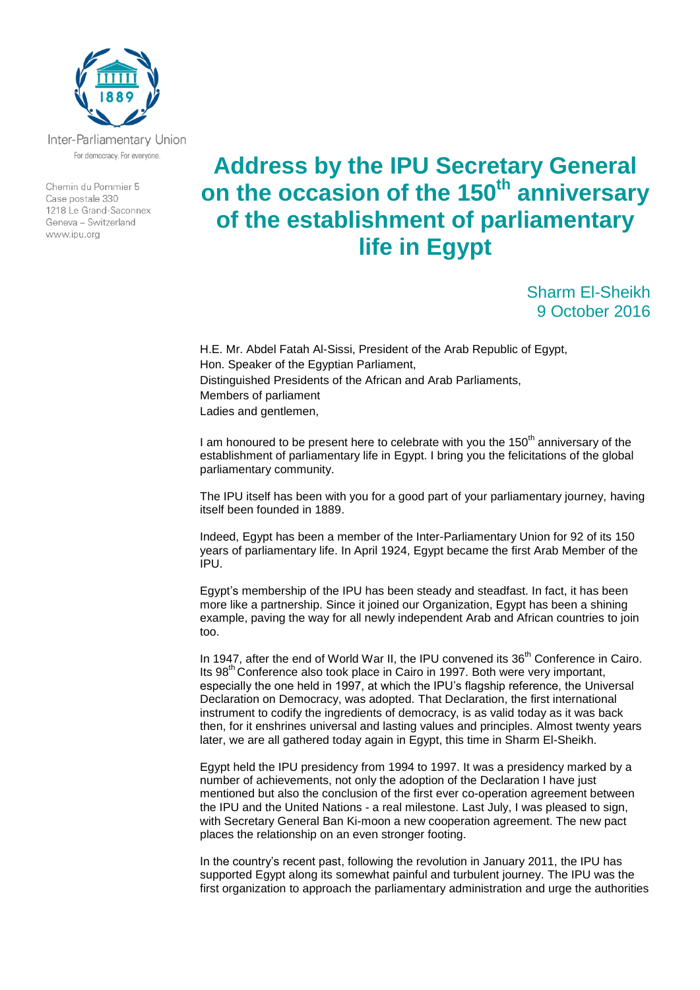

Inter-Parliamentary Union For democracy. For everyone.

Chemin du Pommier 5 Case postale 330 1218 Le Grand-Saconnex Geneva - Switzerland www.ipu.org

## **Address by the IPU Secretary General on the occasion of the 150th anniversary of the establishment of parliamentary life in Egypt**

Sharm El-Sheikh 9 October 2016

H.E. Mr. Abdel Fatah Al-Sissi, President of the Arab Republic of Egypt, Hon. Speaker of the Egyptian Parliament, Distinguished Presidents of the African and Arab Parliaments, Members of parliament Ladies and gentlemen,

I am honoured to be present here to celebrate with you the  $150<sup>th</sup>$  anniversary of the establishment of parliamentary life in Egypt. I bring you the felicitations of the global parliamentary community.

The IPU itself has been with you for a good part of your parliamentary journey, having itself been founded in 1889.

Indeed, Egypt has been a member of the Inter-Parliamentary Union for 92 of its 150 years of parliamentary life. In April 1924, Egypt became the first Arab Member of the IPU.

Egypt's membership of the IPU has been steady and steadfast. In fact, it has been more like a partnership. Since it joined our Organization, Egypt has been a shining example, paving the way for all newly independent Arab and African countries to join too.

In 1947, after the end of World War II, the IPU convened its 36<sup>th</sup> Conference in Cairo. Its 98th Conference also took place in Cairo in 1997. Both were very important, especially the one held in 1997, at which the IPU's flagship reference, the Universal Declaration on Democracy, was adopted. That Declaration, the first international instrument to codify the ingredients of democracy, is as valid today as it was back then, for it enshrines universal and lasting values and principles. Almost twenty years later, we are all gathered today again in Egypt, this time in Sharm El-Sheikh.

Egypt held the IPU presidency from 1994 to 1997. It was a presidency marked by a number of achievements, not only the adoption of the Declaration I have just mentioned but also the conclusion of the first ever co-operation agreement between the IPU and the United Nations - a real milestone. Last July, I was pleased to sign, with Secretary General Ban Ki-moon a new cooperation agreement. The new pact places the relationship on an even stronger footing.

In the country's recent past, following the revolution in January 2011, the IPU has supported Egypt along its somewhat painful and turbulent journey. The IPU was the first organization to approach the parliamentary administration and urge the authorities